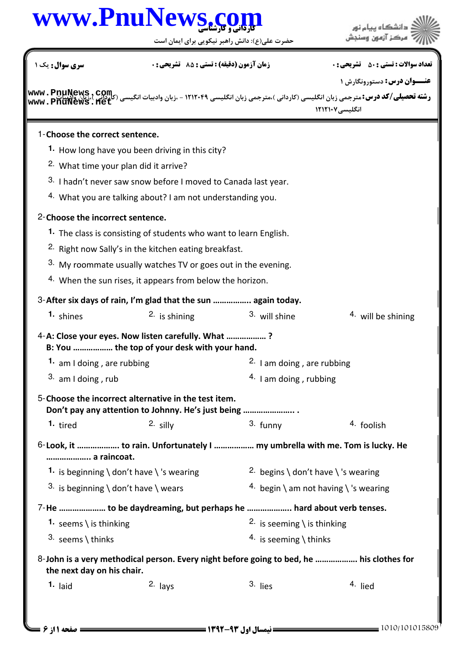|                                                  | www.PnuNews.c                                                                            |                                       | دانشگاه بیام نور                                                                                                                                                                                                                            |
|--------------------------------------------------|------------------------------------------------------------------------------------------|---------------------------------------|---------------------------------------------------------------------------------------------------------------------------------------------------------------------------------------------------------------------------------------------|
|                                                  | حضرت علی(ع): دانش راهبر نیکویی برای ایمان است                                            |                                       |                                                                                                                                                                                                                                             |
| <b>سری سوال :</b> یک ۱                           | <b>زمان آزمون (دقیقه) : تستی : 85 ٪ تشریحی : 0</b>                                       |                                       | <b>تعداد سوالات : تستي : 50 ٪ تشريحي : 0</b>                                                                                                                                                                                                |
|                                                  |                                                                                          |                                       | <b>عنـــوان درس:</b> دستورونگارش ۱                                                                                                                                                                                                          |
|                                                  |                                                                                          |                                       | <b>رشته تحصیلی/کد درس:</b> مترجمی زبان انگلیسی (کاردانی )،مترجمی زبان انگلیسی ۱۲۱۲۰۴۹ - ،زبان وادبیات انگیسی (کاردایم )،زبان<br>ر <b>شته تحصیلی/کد درس:</b> مترجمی زبان انگلیسی (کاردانی )،مترجمی زبان انگلیسی ۱۲۱۲۰۴۹ - ،زبان وادبیات انگی |
|                                                  |                                                                                          |                                       | انگلیسی ۱۲۱۲۱۰۷                                                                                                                                                                                                                             |
| 1-Choose the correct sentence.                   |                                                                                          |                                       |                                                                                                                                                                                                                                             |
|                                                  | <sup>1</sup> How long have you been driving in this city?                                |                                       |                                                                                                                                                                                                                                             |
| <sup>2.</sup> What time your plan did it arrive? |                                                                                          |                                       |                                                                                                                                                                                                                                             |
|                                                  | 3. I hadn't never saw snow before I moved to Canada last year.                           |                                       |                                                                                                                                                                                                                                             |
|                                                  | 4. What you are talking about? I am not understanding you.                               |                                       |                                                                                                                                                                                                                                             |
| 2-Choose the incorrect sentence.                 |                                                                                          |                                       |                                                                                                                                                                                                                                             |
|                                                  | 1. The class is consisting of students who want to learn English.                        |                                       |                                                                                                                                                                                                                                             |
|                                                  | <sup>2.</sup> Right now Sally's in the kitchen eating breakfast.                         |                                       |                                                                                                                                                                                                                                             |
|                                                  | 3. My roommate usually watches TV or goes out in the evening.                            |                                       |                                                                                                                                                                                                                                             |
|                                                  | 4. When the sun rises, it appears from below the horizon.                                |                                       |                                                                                                                                                                                                                                             |
|                                                  | 3-After six days of rain, I'm glad that the sun  again today.                            |                                       |                                                                                                                                                                                                                                             |
| 1. shines                                        | $2.$ is shining                                                                          | 3. will shine                         | <sup>4</sup> will be shining                                                                                                                                                                                                                |
|                                                  | 4-A: Close your eyes. Now listen carefully. What ?                                       |                                       |                                                                                                                                                                                                                                             |
|                                                  | B: You  the top of your desk with your hand.                                             |                                       |                                                                                                                                                                                                                                             |
| 1. am I doing, are rubbing                       |                                                                                          | 2. I am doing, are rubbing            |                                                                                                                                                                                                                                             |
| $3.$ am I doing, rub                             |                                                                                          | $4.$ I am doing, rubbing              |                                                                                                                                                                                                                                             |
|                                                  | 5-Choose the incorrect alternative in the test item.                                     |                                       |                                                                                                                                                                                                                                             |
| 1. tired                                         | Don't pay any attention to Johnny. He's just being<br>$2.$ silly                         | $3.$ funny                            | 4. foolish                                                                                                                                                                                                                                  |
|                                                  |                                                                                          |                                       |                                                                                                                                                                                                                                             |
| a raincoat.                                      | 6-Look, it  to rain. Unfortunately I  my umbrella with me. Tom is lucky. He              |                                       |                                                                                                                                                                                                                                             |
|                                                  | 1. is beginning $\cdot$ don't have $\cdot$ 's wearing                                    | 2. begins \ don't have \ 's wearing   |                                                                                                                                                                                                                                             |
| 3. is beginning \ don't have \ wears             |                                                                                          | 4. begin \ am not having \ 's wearing |                                                                                                                                                                                                                                             |
|                                                  | 7-He  to be daydreaming, but perhaps he  hard about verb tenses.                         |                                       |                                                                                                                                                                                                                                             |
| 1. seems \ is thinking                           |                                                                                          | 2. is seeming \ is thinking           |                                                                                                                                                                                                                                             |
| 3. seems \ thinks                                |                                                                                          | 4. is seeming \ thinks                |                                                                                                                                                                                                                                             |
|                                                  |                                                                                          |                                       |                                                                                                                                                                                                                                             |
| the next day on his chair.                       | 8-John is a very methodical person. Every night before going to bed, he  his clothes for |                                       |                                                                                                                                                                                                                                             |
| $1.$ laid                                        | $2.$ lays                                                                                | 3. lies                               | 4. lied                                                                                                                                                                                                                                     |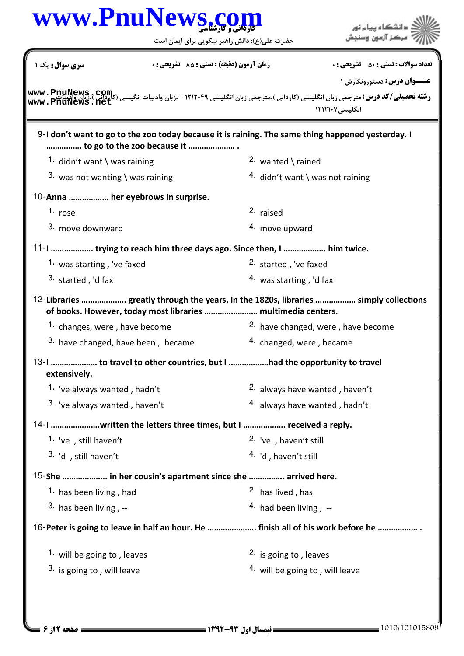| www.PnuNews.c                      |                                                                         | حضرت علی(ع): دانش راهبر نیکویی برای ایمان است | دانشگاه پیام نور<br>مركز آزمون وسنجش                                                                                                                                                                                                                                                                |
|------------------------------------|-------------------------------------------------------------------------|-----------------------------------------------|-----------------------------------------------------------------------------------------------------------------------------------------------------------------------------------------------------------------------------------------------------------------------------------------------------|
| سری سوال: یک ۱                     | زمان آزمون (دقیقه) : تستی : 85 ٪ تشریحی : 0                             |                                               | <b>تعداد سوالات : تستي : 50 ٪ تشريحي : 0</b>                                                                                                                                                                                                                                                        |
|                                    |                                                                         |                                               | <b>عنــوان درس:</b> دستورونگارش ۱<br><b>رشته تحصیلی/کد درس:</b> مترجمی زبان انگلیسی (کاردانی )،مترجمی زبان انگلیسی ۱۲۱۲۰۴۹ - ،زبان وادبیات انگیسی (کاردانی )<br>روسته ت <b>حصیلی/کد درس:</b> مترجمی زبان انگلیسی (کاردانی )،مترجمی زبان انگلیسی ۱۲۱۲۰۴۹ - ،زبان وادبیات انگیسیات<br>انگلیسی ۱۲۱۲۱۰۷ |
|                                    | to go to the zoo because it                                             |                                               | $9$ -I don't want to go to the zoo today because it is raining. The same thing happened yesterday. I                                                                                                                                                                                                |
| 1. didn't want \ was raining       |                                                                         | 2. wanted $\langle$ rained                    |                                                                                                                                                                                                                                                                                                     |
| 3. was not wanting \ was raining   |                                                                         | 4. didn't want \ was not raining              |                                                                                                                                                                                                                                                                                                     |
| 10-Anna  her eyebrows in surprise. |                                                                         |                                               |                                                                                                                                                                                                                                                                                                     |
| 1. $rose$                          |                                                                         | 2. raised                                     |                                                                                                                                                                                                                                                                                                     |
| 3. move downward                   |                                                                         | 4. move upward                                |                                                                                                                                                                                                                                                                                                     |
|                                    | 11-1  trying to reach him three days ago. Since then, I  him twice.     |                                               |                                                                                                                                                                                                                                                                                                     |
| 1. was starting, 've faxed         |                                                                         | 2. started, 've faxed                         |                                                                                                                                                                                                                                                                                                     |
| $3.$ started, 'd fax               |                                                                         | $4.$ was starting, 'd fax                     |                                                                                                                                                                                                                                                                                                     |
|                                    | of books. However, today most libraries  multimedia centers.            |                                               | 12-Libraries  greatly through the years. In the 1820s, libraries  simply collections                                                                                                                                                                                                                |
| 1. changes, were, have become      |                                                                         |                                               | <sup>2.</sup> have changed, were, have become                                                                                                                                                                                                                                                       |
| 3. have changed, have been, became |                                                                         | 4. changed, were, became                      |                                                                                                                                                                                                                                                                                                     |
| extensively.                       | 13-1  to travel to other countries, but I had the opportunity to travel |                                               |                                                                                                                                                                                                                                                                                                     |
| 1. 've always wanted, hadn't       |                                                                         | <sup>2.</sup> always have wanted, haven't     |                                                                                                                                                                                                                                                                                                     |
| 3. 've always wanted, haven't      |                                                                         | <sup>4.</sup> always have wanted, hadn't      |                                                                                                                                                                                                                                                                                                     |
|                                    |                                                                         |                                               |                                                                                                                                                                                                                                                                                                     |
| 1. 've, still haven't              |                                                                         | <sup>2.</sup> 've, haven't still              |                                                                                                                                                                                                                                                                                                     |
| 3. 'd, still haven't               |                                                                         | <sup>4.</sup> 'd, haven't still               |                                                                                                                                                                                                                                                                                                     |
|                                    | 15-She  in her cousin's apartment since she  arrived here.              |                                               |                                                                                                                                                                                                                                                                                                     |
| 1. has been living, had            |                                                                         | 2. has lived, has                             |                                                                                                                                                                                                                                                                                                     |
| $3.$ has been living, $-$          |                                                                         | 4. had been living, $-$                       |                                                                                                                                                                                                                                                                                                     |
|                                    |                                                                         |                                               |                                                                                                                                                                                                                                                                                                     |
|                                    |                                                                         |                                               |                                                                                                                                                                                                                                                                                                     |
| 1. will be going to, leaves        |                                                                         | <sup>2.</sup> is going to, leaves             |                                                                                                                                                                                                                                                                                                     |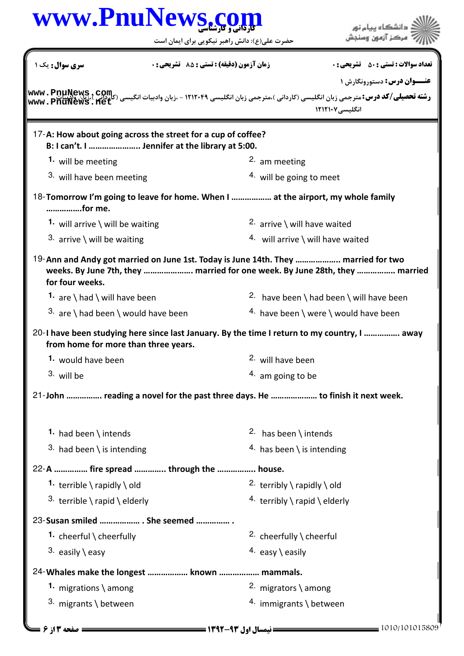|                                                                                                                 |                                             | حضرت علی(ع): دانش راهبر نیکویی برای ایمان است | مركز آزمون وسنجش                                                                                                                                                                                                                                           |
|-----------------------------------------------------------------------------------------------------------------|---------------------------------------------|-----------------------------------------------|------------------------------------------------------------------------------------------------------------------------------------------------------------------------------------------------------------------------------------------------------------|
| <b>سری سوال :</b> یک ۱                                                                                          | زمان آزمون (دقیقه) : تستی : 85 ٪ تشریحی : 0 |                                               | <b>تعداد سوالات : تستي : 50 ٪ تشريحي : 0</b>                                                                                                                                                                                                               |
|                                                                                                                 |                                             |                                               | <b>عنـــوان درس:</b> دستورونگارش ۱                                                                                                                                                                                                                         |
|                                                                                                                 |                                             |                                               | <b>رشته تحصیلی/کد درس: مترجمی زبان انگلیسی (کاردانی )،مترجمی زبان انگلیسی ۱۲۱۲۰۴۹ - ،زبان وادبیات انگیسی (کاردانی که www . PnuNews , COM<br/>مسجد از استاد استاد استاد به سبع به انگلیسی (کاردانی )،مترجمی زبان انگلیسی ۱۲۱۲۰۴۹ - ،</b><br>انگلیسی ۱۲۱۲۱۰۷ |
| 17-A: How about going across the street for a cup of coffee?<br>B: I can't. I  Jennifer at the library at 5:00. |                                             |                                               |                                                                                                                                                                                                                                                            |
| 1. will be meeting                                                                                              |                                             | <sup>2.</sup> am meeting                      |                                                                                                                                                                                                                                                            |
| 3. will have been meeting                                                                                       |                                             | <sup>4</sup> will be going to meet            |                                                                                                                                                                                                                                                            |
| 18-Tomorrow I'm going to leave for home. When I  at the airport, my whole family<br>for me.                     |                                             |                                               |                                                                                                                                                                                                                                                            |
| 1. will arrive $\backslash$ will be waiting                                                                     |                                             | 2. arrive \ will have waited                  |                                                                                                                                                                                                                                                            |
| 3. arrive \ will be waiting                                                                                     |                                             | 4. will arrive \ will have waited             |                                                                                                                                                                                                                                                            |
| 19-Ann and Andy got married on June 1st. Today is June 14th. They  married for two<br>for four weeks.           |                                             |                                               | weeks. By June 7th, they  married for one week. By June 28th, they  married                                                                                                                                                                                |
| 1. are $\hat{\ }$ had $\hat{\ }$ will have been                                                                 |                                             |                                               | 2. have been \ had been \ will have been                                                                                                                                                                                                                   |
| 3. are \ had been \ would have been                                                                             |                                             |                                               | 4. have been \ were \ would have been                                                                                                                                                                                                                      |
| from home for more than three years.                                                                            |                                             |                                               | 20-I have been studying here since last January. By the time I return to my country, I  away                                                                                                                                                               |
| 1. would have been                                                                                              |                                             | 2. will have been                             |                                                                                                                                                                                                                                                            |
| 3. will be                                                                                                      |                                             | $4.$ am going to be                           |                                                                                                                                                                                                                                                            |
| 21-John  reading a novel for the past three days. He  to finish it next week.                                   |                                             |                                               |                                                                                                                                                                                                                                                            |
| 1. had been \ intends                                                                                           |                                             | 2. has been $\int$ intends                    |                                                                                                                                                                                                                                                            |
| 3. had been \ is intending                                                                                      |                                             | 4. has been $\setminus$ is intending          |                                                                                                                                                                                                                                                            |
| 22-A  fire spread  through the  house.                                                                          |                                             |                                               |                                                                                                                                                                                                                                                            |
| 1. terrible $\langle$ rapidly $\langle$ old                                                                     |                                             | 2. terribly $\langle$ rapidly $\langle$ old   |                                                                                                                                                                                                                                                            |
| 3. terrible $\langle$ rapid $\langle$ elderly                                                                   |                                             | 4. terribly $\langle$ rapid $\langle$ elderly |                                                                                                                                                                                                                                                            |
| 23-Susan smiled  She seemed                                                                                     |                                             |                                               |                                                                                                                                                                                                                                                            |
| 1. cheerful $\langle$ cheerfully                                                                                |                                             | 2. cheerfully \ cheerful                      |                                                                                                                                                                                                                                                            |
| 3. easily \easy                                                                                                 |                                             | 4. easy \ easily                              |                                                                                                                                                                                                                                                            |
| 24-Whales make the longest  known  mammals.                                                                     |                                             |                                               |                                                                                                                                                                                                                                                            |
| 1. migrations \ among                                                                                           |                                             | 2. migrators \ among                          |                                                                                                                                                                                                                                                            |
|                                                                                                                 | 3. migrants $\backslash$ between            | 4. immigrants \ between                       |                                                                                                                                                                                                                                                            |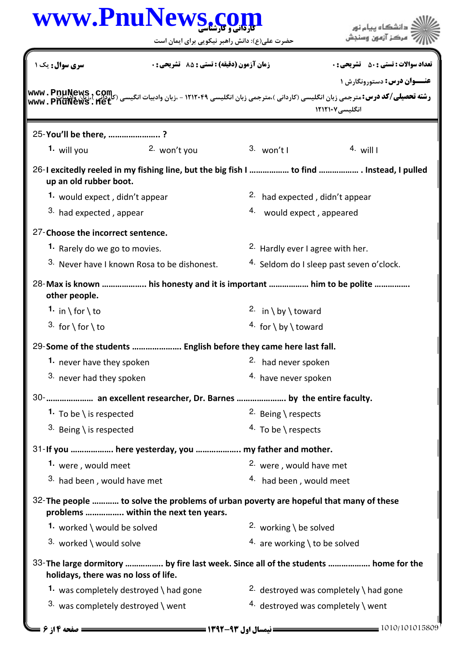|                                      | حضرت علی(ع): دانش راهبر نیکویی برای ایمان است                                                                                 |                                                  | مركز آزمون وسنجش                                                                                                                                                                                                                                                              |  |  |
|--------------------------------------|-------------------------------------------------------------------------------------------------------------------------------|--------------------------------------------------|-------------------------------------------------------------------------------------------------------------------------------------------------------------------------------------------------------------------------------------------------------------------------------|--|--|
| سری سوال: یک ۱                       | زمان آزمون (دقیقه) : تستی : 85 ٪ تشریحی : 0                                                                                   |                                                  | <b>تعداد سوالات : تستي : 50 ٪ تشريحي : 0</b>                                                                                                                                                                                                                                  |  |  |
|                                      |                                                                                                                               |                                                  | <b>عنـــوان درس:</b> دستورونگارش ۱<br><b>رشته تحصیلی/کد درس: مترجمی زبان انگلیسی (کاردانی )،مترجمی زبان انگلیسی ۱۲۱۲۰۴۹ - ،زبان وادبیات انگیسی (کاردانی)،من است.<br/>مسیحات المورد المورد المورد المورد المورد المورد المورد المورد المورد المورد المورد المورد المورد ال</b> |  |  |
|                                      |                                                                                                                               |                                                  | انگلیسی ۱۲۱۲۱۰۷                                                                                                                                                                                                                                                               |  |  |
| 25-You'll be there, ?<br>1. will you | 2. won't you                                                                                                                  | $3.$ won't l                                     | 4. will $\vert$                                                                                                                                                                                                                                                               |  |  |
|                                      |                                                                                                                               |                                                  |                                                                                                                                                                                                                                                                               |  |  |
| up an old rubber boot.               |                                                                                                                               |                                                  | 26-I excitedly reeled in my fishing line, but the big fish I  to find  Instead, I pulled                                                                                                                                                                                      |  |  |
| 1. would expect, didn't appear       |                                                                                                                               | <sup>2.</sup> had expected, didn't appear        |                                                                                                                                                                                                                                                                               |  |  |
| 3. had expected, appear              |                                                                                                                               | 4.<br>would expect, appeared                     |                                                                                                                                                                                                                                                                               |  |  |
| 27-Choose the incorrect sentence.    |                                                                                                                               |                                                  |                                                                                                                                                                                                                                                                               |  |  |
| 1. Rarely do we go to movies.        |                                                                                                                               | <sup>2.</sup> Hardly ever I agree with her.      |                                                                                                                                                                                                                                                                               |  |  |
|                                      | 3. Never have I known Rosa to be dishonest.                                                                                   |                                                  | 4. Seldom do I sleep past seven o'clock.                                                                                                                                                                                                                                      |  |  |
| other people.                        | 28-Max is known  his honesty and it is important  him to be polite                                                            |                                                  |                                                                                                                                                                                                                                                                               |  |  |
| 1. in \for \to                       |                                                                                                                               |                                                  | 2. in \ by \ toward                                                                                                                                                                                                                                                           |  |  |
| 3. for \for \to                      |                                                                                                                               |                                                  | 4. for \ by \ toward                                                                                                                                                                                                                                                          |  |  |
|                                      | 29-Some of the students  English before they came here last fall.                                                             |                                                  |                                                                                                                                                                                                                                                                               |  |  |
| 1. never have they spoken            |                                                                                                                               | 2. had never spoken                              |                                                                                                                                                                                                                                                                               |  |  |
| 3. never had they spoken             |                                                                                                                               | 4. have never spoken                             |                                                                                                                                                                                                                                                                               |  |  |
|                                      | 30-  an excellent researcher, Dr. Barnes  by the entire faculty.                                                              |                                                  |                                                                                                                                                                                                                                                                               |  |  |
| 1. To be \ is respected              |                                                                                                                               | 2. Being \ respects                              |                                                                                                                                                                                                                                                                               |  |  |
| 3. Being \ is respected              |                                                                                                                               | $4.$ To be \ respects                            |                                                                                                                                                                                                                                                                               |  |  |
|                                      | 31-If you  here yesterday, you  my father and mother.                                                                         |                                                  |                                                                                                                                                                                                                                                                               |  |  |
|                                      | 1. were, would meet                                                                                                           |                                                  | <sup>2.</sup> were, would have met                                                                                                                                                                                                                                            |  |  |
| 3. had been, would have met          |                                                                                                                               | 4. had been, would meet                          |                                                                                                                                                                                                                                                                               |  |  |
|                                      | 32- The people  to solve the problems of urban poverty are hopeful that many of these<br>problems  within the next ten years. |                                                  |                                                                                                                                                                                                                                                                               |  |  |
| 1. worked \ would be solved          |                                                                                                                               | 2. working \ be solved                           |                                                                                                                                                                                                                                                                               |  |  |
|                                      | 3. worked \ would solve                                                                                                       |                                                  | 4. are working \ to be solved                                                                                                                                                                                                                                                 |  |  |
| holidays, there was no loss of life. |                                                                                                                               |                                                  | 33- The large dormitory  by fire last week. Since all of the students  home for the                                                                                                                                                                                           |  |  |
|                                      | 1. was completely destroyed \ had gone                                                                                        | 2. destroyed was completely $\setminus$ had gone |                                                                                                                                                                                                                                                                               |  |  |
| 3. was completely destroyed \ went   |                                                                                                                               | 4. destroyed was completely \ went               |                                                                                                                                                                                                                                                                               |  |  |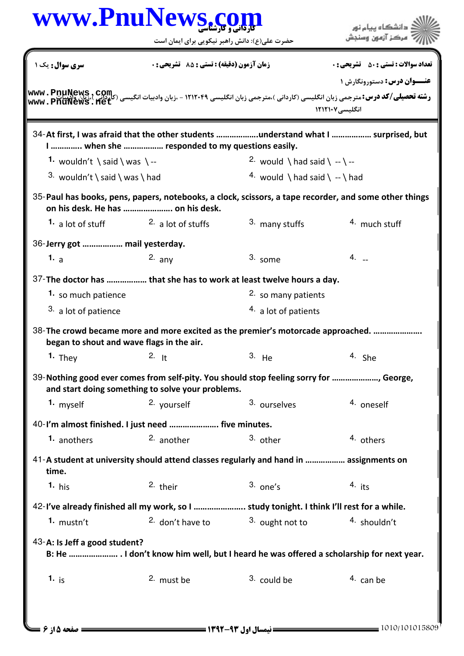|                                | حضرت علی(ع): دانش راهبر نیکویی برای ایمان است                                                                                               |                                                                                           | .<br>• مرڪز آزمون وسنڊش                                                                                                                                                                                                                                                                 |  |
|--------------------------------|---------------------------------------------------------------------------------------------------------------------------------------------|-------------------------------------------------------------------------------------------|-----------------------------------------------------------------------------------------------------------------------------------------------------------------------------------------------------------------------------------------------------------------------------------------|--|
| سری سوال : یک ۱                | زمان آزمون (دقیقه) : تستی : 85 ٪ تشریحی : 0                                                                                                 |                                                                                           | <b>تعداد سوالات : تستي : 50 ٪ تشريحي : 0</b>                                                                                                                                                                                                                                            |  |
|                                |                                                                                                                                             |                                                                                           | <b>عنــوان درس:</b> دستورونگارش ۱<br>رشته تحصیلی/کد درس: مترجمی زبان انگلیسی (کاردانی )،مترجمی زبان انگلیسی ۱۲۱۲۰۴۹ - ،زبان وادبیات انگیسی (کلوکیریا<br>استروپری از این کلوکیری (به انگلیسی (کاردانی )،مترجمی زبان انگلیسی ۱۲۱۲۰۴۹ - ،زبان وادبیات انگیسی (کلوکیریا)<br>انگلیسی ۱۲۱۲۱۰۷ |  |
|                                | 34-At first, I was afraid that the other students understand what I  surprised, but<br>I  when she  responded to my questions easily.       |                                                                                           |                                                                                                                                                                                                                                                                                         |  |
| 1. wouldn't \said \ was \ --   |                                                                                                                                             | 2. would \ had said \ -- \ --                                                             |                                                                                                                                                                                                                                                                                         |  |
| 3. wouldn't \ said \ was \ had |                                                                                                                                             | 4. would \ had said \ -- \ had                                                            |                                                                                                                                                                                                                                                                                         |  |
|                                | 35-Paul has books, pens, papers, notebooks, a clock, scissors, a tape recorder, and some other things<br>on his desk. He has  on his desk.  |                                                                                           |                                                                                                                                                                                                                                                                                         |  |
| <b>1.</b> a lot of stuff       | <sup>2</sup> a lot of stuffs                                                                                                                | 3. many stuffs                                                                            | 4. much stuff                                                                                                                                                                                                                                                                           |  |
| 36-Jerry got  mail yesterday.  |                                                                                                                                             |                                                                                           |                                                                                                                                                                                                                                                                                         |  |
| 1. $\overline{a}$              | $2.$ any                                                                                                                                    | 3. some                                                                                   | $4. -$                                                                                                                                                                                                                                                                                  |  |
|                                | 37-The doctor has  that she has to work at least twelve hours a day.                                                                        |                                                                                           |                                                                                                                                                                                                                                                                                         |  |
| 1. so much patience            |                                                                                                                                             | 2. so many patients                                                                       |                                                                                                                                                                                                                                                                                         |  |
| <sup>3</sup> a lot of patience |                                                                                                                                             | 4. a lot of patients                                                                      |                                                                                                                                                                                                                                                                                         |  |
|                                | 38-The crowd became more and more excited as the premier's motorcade approached.<br>began to shout and wave flags in the air.               |                                                                                           |                                                                                                                                                                                                                                                                                         |  |
| <b>1.</b> They $2.$ It         |                                                                                                                                             | 3. He                                                                                     | 4. She                                                                                                                                                                                                                                                                                  |  |
|                                | 39-Nothing good ever comes from self-pity. You should stop feeling sorry for , George,<br>and start doing something to solve your problems. |                                                                                           |                                                                                                                                                                                                                                                                                         |  |
| 1. myself                      | 2. yourself                                                                                                                                 | 3. ourselves                                                                              | 4. oneself                                                                                                                                                                                                                                                                              |  |
|                                | 40-I'm almost finished. I just need  five minutes.                                                                                          |                                                                                           |                                                                                                                                                                                                                                                                                         |  |
| 1. anothers                    | 2. another                                                                                                                                  | 3. other                                                                                  | 4. others                                                                                                                                                                                                                                                                               |  |
| time.                          | 41-A student at university should attend classes regularly and hand in  assignments on                                                      |                                                                                           |                                                                                                                                                                                                                                                                                         |  |
| $1. h$ is                      | 2. their                                                                                                                                    | $3.$ one's                                                                                | $4.$ its                                                                                                                                                                                                                                                                                |  |
|                                |                                                                                                                                             | 42-I've already finished all my work, so I  study tonight. I think I'll rest for a while. |                                                                                                                                                                                                                                                                                         |  |
| $1.$ mustn't                   | 2. don't have to                                                                                                                            | 3. ought not to                                                                           | 4. shouldn't                                                                                                                                                                                                                                                                            |  |
| 43-A: Is Jeff a good student?  | B: He  I don't know him well, but I heard he was offered a scholarship for next year.                                                       |                                                                                           |                                                                                                                                                                                                                                                                                         |  |
|                                |                                                                                                                                             |                                                                                           |                                                                                                                                                                                                                                                                                         |  |